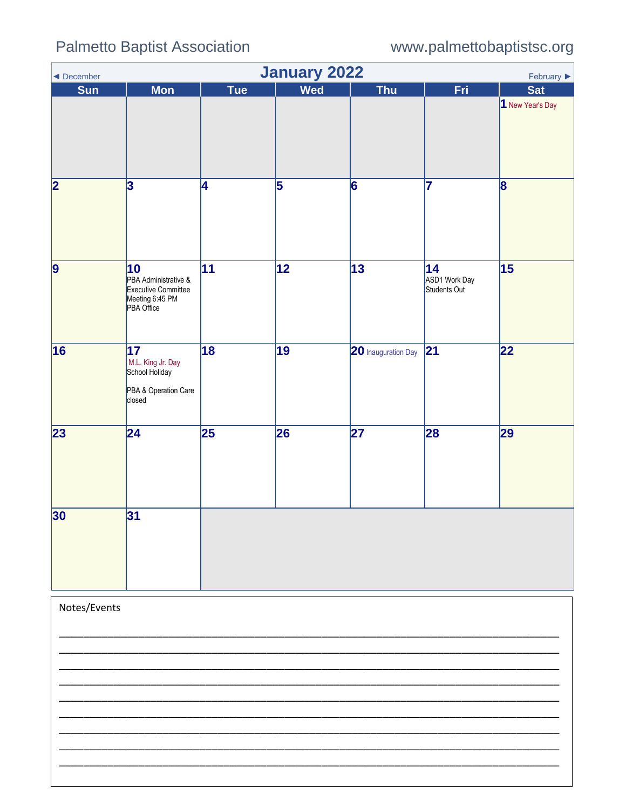### **Palmetto Baptist Association**

### www.palmettobaptistsc.org

<span id="page-0-0"></span>

| <b>January 2022</b><br>February $\blacktriangleright$<br>◀ December |                                                                                          |                 |                 |                     |                                     |                  |  |  |
|---------------------------------------------------------------------|------------------------------------------------------------------------------------------|-----------------|-----------------|---------------------|-------------------------------------|------------------|--|--|
| <b>Sun</b>                                                          | <b>Mon</b>                                                                               | Tue             | Wed             | <b>Thu</b>          | Fri                                 | <b>Sat</b>       |  |  |
|                                                                     |                                                                                          |                 |                 |                     |                                     | 1 New Year's Day |  |  |
| 2                                                                   | 3                                                                                        | 4               | 5               | 6                   | 17                                  | 8                |  |  |
| 9                                                                   | 10<br>PBA Administrative &<br>Executive Committee<br>Meeting 6:45 PM<br>PBA Office       | $\overline{11}$ | $\overline{12}$ | $\overline{13}$     | 14<br>ASD1 Work Day<br>Students Out | $\overline{15}$  |  |  |
| 16                                                                  | $\overline{17}$<br>M.L. King Jr. Day<br>School Holiday<br>PBA & Operation Care<br>closed | 18              | 19              | 20 Inauguration Day | 21                                  | $\overline{22}$  |  |  |
| 23                                                                  | $\overline{24}$                                                                          | $\overline{25}$ | 26              | $\overline{27}$     | 28                                  | 29               |  |  |
| 30                                                                  | 31                                                                                       |                 |                 |                     |                                     |                  |  |  |
| Notes/Events                                                        |                                                                                          |                 |                 |                     |                                     |                  |  |  |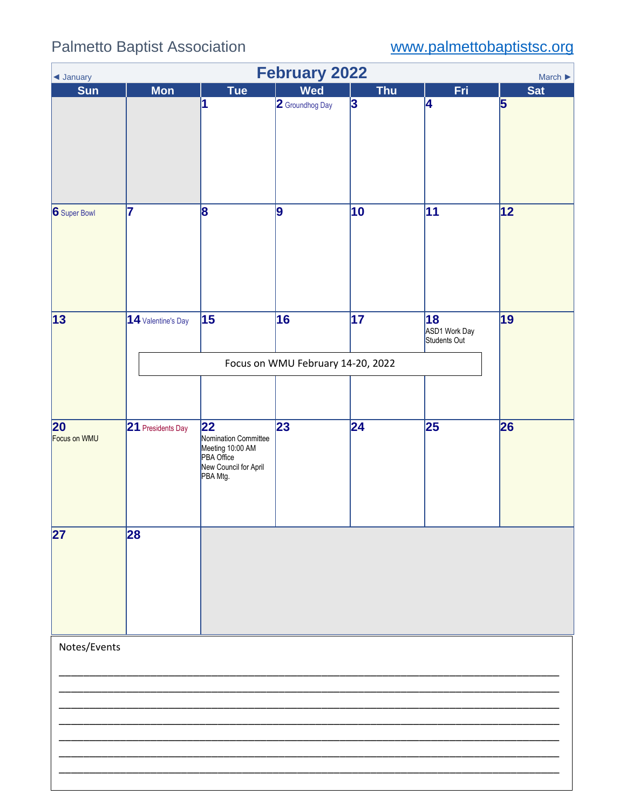# Palmetto Baptist Association [www.palmettobaptistsc.org](http://www.palmettobaptistsc.org/)

<span id="page-1-0"></span>

| <b>February 2022</b><br>March $\blacktriangleright$<br>I January |                         |                                                                                                   |                 |                 |                                     |                         |  |  |
|------------------------------------------------------------------|-------------------------|---------------------------------------------------------------------------------------------------|-----------------|-----------------|-------------------------------------|-------------------------|--|--|
| <b>Sun</b>                                                       | <b>Mon</b>              | Tue                                                                                               | <b>Wed</b>      | <b>Thu</b>      | Fri                                 | <b>Sat</b>              |  |  |
|                                                                  |                         | 1                                                                                                 | 2 Groundhog Day | 3               | 4                                   | $\overline{\mathbf{5}}$ |  |  |
| 6 Super Bowl                                                     | $\mathsf{\overline{7}}$ | 8                                                                                                 | 9               | 10              | 11                                  | 12                      |  |  |
| 13                                                               | 14 Valentine's Day      | $\overline{15}$                                                                                   | 16              | $\overline{17}$ | 18<br>ASD1 Work Day<br>Students Out | 19                      |  |  |
|                                                                  |                         | Focus on WMU February 14-20, 2022                                                                 |                 |                 |                                     |                         |  |  |
|                                                                  |                         |                                                                                                   |                 |                 |                                     |                         |  |  |
| 20<br>Focus on WMU                                               | 21 Presidents Day       | 22<br>Nomination Committee<br>Meeting 10:00 AM<br>PBA Office<br>New Council for April<br>PBA Mtg. | 23              | $\overline{24}$ | $\overline{25}$                     | 26                      |  |  |
| $\overline{27}$                                                  | 28                      |                                                                                                   |                 |                 |                                     |                         |  |  |
| Notes/Events                                                     |                         |                                                                                                   |                 |                 |                                     |                         |  |  |
|                                                                  |                         |                                                                                                   |                 |                 |                                     |                         |  |  |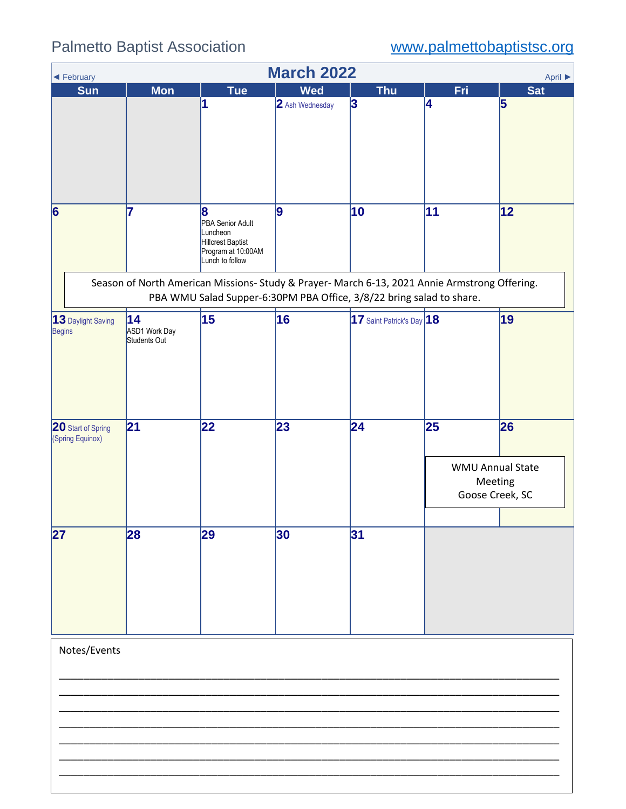<span id="page-2-0"></span>

| <b>March 2022</b><br>April ▶<br>◀ February |                                     |                                                                                                        |                 |                                                                                                                                                                       |                                                             |                |  |  |  |
|--------------------------------------------|-------------------------------------|--------------------------------------------------------------------------------------------------------|-----------------|-----------------------------------------------------------------------------------------------------------------------------------------------------------------------|-------------------------------------------------------------|----------------|--|--|--|
| <b>Sun</b>                                 | <b>Mon</b>                          | <b>Tue</b>                                                                                             | <b>Wed</b>      | <b>Thu</b>                                                                                                                                                            | Fri                                                         | <b>Sat</b>     |  |  |  |
|                                            |                                     | 1                                                                                                      | 2 Ash Wednesday | 3                                                                                                                                                                     | 4                                                           | $\overline{5}$ |  |  |  |
| $\vert 6 \vert$                            | 7                                   | 8<br>PBA Senior Adult<br>Luncheon<br><b>Hillcrest Baptist</b><br>Program at 10:00AM<br>Lunch to follow | 9               | 10                                                                                                                                                                    | 11                                                          | 12             |  |  |  |
|                                            |                                     |                                                                                                        |                 | Season of North American Missions- Study & Prayer- March 6-13, 2021 Annie Armstrong Offering.<br>PBA WMU Salad Supper-6:30PM PBA Office, 3/8/22 bring salad to share. |                                                             |                |  |  |  |
| 13 Daylight Saving<br><b>Begins</b>        | 14<br>ASD1 Work Day<br>Students Out | 15                                                                                                     | 16              | 17 Saint Patrick's Day 18                                                                                                                                             |                                                             | 19             |  |  |  |
| 20 Start of Spring<br>(Spring Equinox)     | 21                                  | 22                                                                                                     | 23              | 24                                                                                                                                                                    | 25<br><b>WMU Annual State</b><br>Meeting<br>Goose Creek, SC | 26             |  |  |  |
| $\overline{27}$                            | 28                                  | 29                                                                                                     | 30              | 31                                                                                                                                                                    |                                                             |                |  |  |  |
| Notes/Events                               |                                     |                                                                                                        |                 |                                                                                                                                                                       |                                                             |                |  |  |  |

\_\_\_\_\_\_\_\_\_\_\_\_\_\_\_\_\_\_\_\_\_\_\_\_\_\_\_\_\_\_\_\_\_\_\_\_\_\_\_\_\_\_\_\_\_\_\_\_\_\_\_\_\_\_\_\_\_\_\_\_\_\_\_\_\_\_\_\_\_\_\_\_\_\_\_\_\_\_\_\_\_\_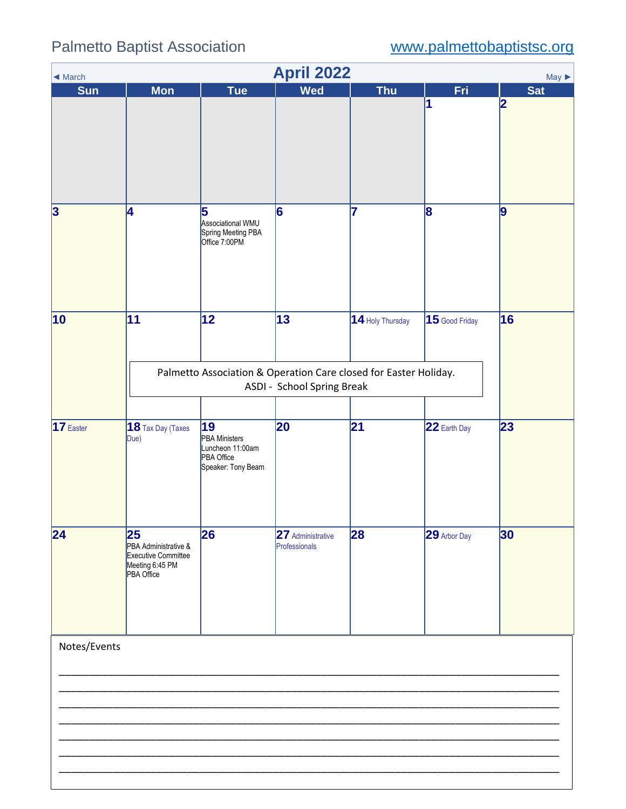# Palmetto Baptist Association [www.palmettobaptistsc.org](http://www.palmettobaptistsc.org/)

<span id="page-3-0"></span>

| ◀ March      | <b>April 2022</b><br>$May \triangleright$                                          |                                                                                    |                                    |                  |                 |            |  |  |  |
|--------------|------------------------------------------------------------------------------------|------------------------------------------------------------------------------------|------------------------------------|------------------|-----------------|------------|--|--|--|
| <b>Sun</b>   | <b>Mon</b>                                                                         | <b>Tue</b>                                                                         | <b>Wed</b>                         | <b>Thu</b>       | Fri             | <b>Sat</b> |  |  |  |
|              |                                                                                    |                                                                                    |                                    |                  | 1               | 2          |  |  |  |
| 3            | 14                                                                                 | 5<br>Associational WMU<br>Spring Meeting PBA<br>Office 7:00PM                      | 6                                  | 7                | $\vert 8 \vert$ | 9          |  |  |  |
| $ 10\rangle$ | 11                                                                                 | 12 <br>Palmetto Association & Operation Care closed for Easter Holiday.            | 13<br>ASDI - School Spring Break   | 14 Holy Thursday | 15 Good Friday  | 16         |  |  |  |
| 17 Easter    | 18 Tax Day (Taxes<br>Due)                                                          | 19<br><b>PBA Ministers</b><br>Luncheon 11:00am<br>PBA Office<br>Speaker: Tony Beam | 20                                 | $\overline{21}$  | 22 Earth Day    | 23         |  |  |  |
| 24           | 25<br>PBA Administrative &<br>Executive Committee<br>Meeting 6:45 PM<br>PBA Office | 26                                                                                 | 27 Administrative<br>Professionals | 28               | 29 Arbor Day    | 30         |  |  |  |
| Notes/Events |                                                                                    |                                                                                    |                                    |                  |                 |            |  |  |  |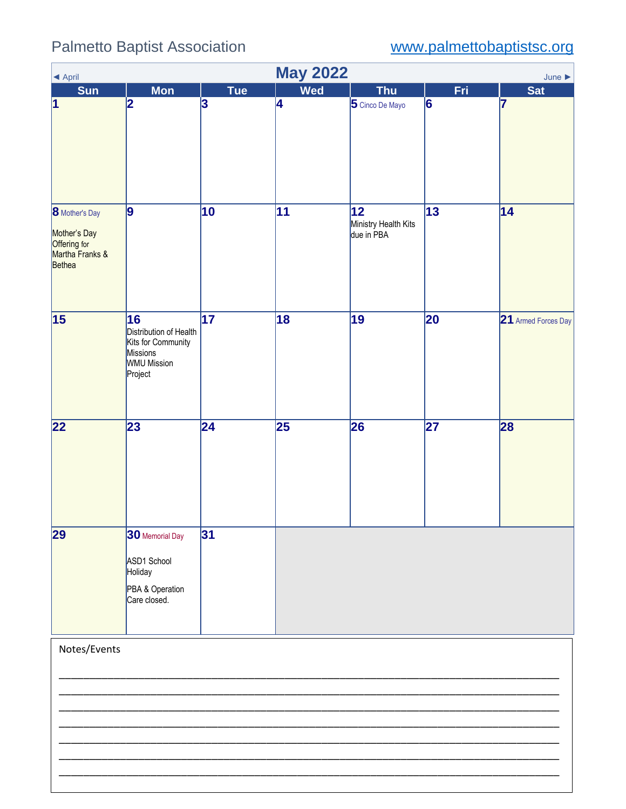<span id="page-4-0"></span>

| <b>May 2022</b><br>June $\blacktriangleright$<br>◀ April                    |                                                                                                 |                 |            |                                           |                 |                     |  |  |  |
|-----------------------------------------------------------------------------|-------------------------------------------------------------------------------------------------|-----------------|------------|-------------------------------------------|-----------------|---------------------|--|--|--|
| <b>Sun</b>                                                                  | <b>Mon</b>                                                                                      | <b>Tue</b>      | <b>Wed</b> | Thu                                       | Fri             | <b>Sat</b>          |  |  |  |
| $\vert$ 1                                                                   | 2                                                                                               | 3               | 4          | 5 Cinco De Mayo                           | 6               | 17                  |  |  |  |
| 8 Mother's Day<br>Mother's Day<br>Offering for<br>Martha Franks &<br>Bethea | 9                                                                                               | 10              | 11         | 12 <br>Ministry Health Kits<br>due in PBA | 13              | 14                  |  |  |  |
| 15                                                                          | 16<br>Distribution of Health<br>Kits for Community<br>Missions<br><b>WMU Mission</b><br>Project | $\overline{17}$ | 18         | $\overline{19}$                           | 20              | 21 Armed Forces Day |  |  |  |
| 22                                                                          | 23                                                                                              | 24              | 25         | 26                                        | $\overline{27}$ | 28                  |  |  |  |
| 29                                                                          | 30 Memorial Day<br>ASD1 School<br>Holiday<br>PBA & Operation<br>Care closed.                    | 31              |            |                                           |                 |                     |  |  |  |
| Notes/Events                                                                |                                                                                                 |                 |            |                                           |                 |                     |  |  |  |

\_\_\_\_\_\_\_\_\_\_\_\_\_\_\_\_\_\_\_\_\_\_\_\_\_\_\_\_\_\_\_\_\_\_\_\_\_\_\_\_\_\_\_\_\_\_\_\_\_\_\_\_\_\_\_\_\_\_\_\_\_\_\_\_\_\_\_\_\_\_\_\_\_\_\_\_\_\_\_\_\_\_

 $\mathcal{L}_\text{max}$  and  $\mathcal{L}_\text{max}$  and  $\mathcal{L}_\text{max}$  and  $\mathcal{L}_\text{max}$  and  $\mathcal{L}_\text{max}$  and  $\mathcal{L}_\text{max}$ 

\_\_\_\_\_\_\_\_\_\_\_\_\_\_\_\_\_\_\_\_\_\_\_\_\_\_\_\_\_\_\_\_\_\_\_\_\_\_\_\_\_\_\_\_\_\_\_\_\_\_\_\_\_\_\_\_\_\_\_\_\_\_\_\_\_\_\_\_\_\_\_\_\_\_\_\_\_\_\_\_\_\_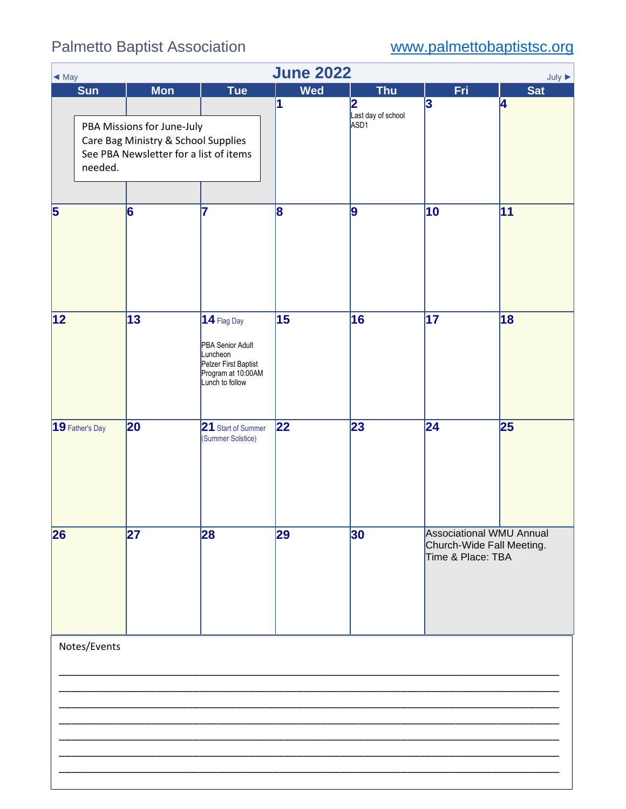<span id="page-5-0"></span>

| <b>June 2022</b><br>July $\blacktriangleright$<br>$\triangleleft$ May |                                                                                                             |                                                                                                              |            |                                             |                                                                                   |            |  |  |  |
|-----------------------------------------------------------------------|-------------------------------------------------------------------------------------------------------------|--------------------------------------------------------------------------------------------------------------|------------|---------------------------------------------|-----------------------------------------------------------------------------------|------------|--|--|--|
| <b>Sun</b>                                                            | <b>Mon</b>                                                                                                  | <b>Tue</b>                                                                                                   | <b>Wed</b> | <b>Thu</b>                                  | <b>Fri</b>                                                                        | <b>Sat</b> |  |  |  |
| needed.                                                               | PBA Missions for June-July<br>Care Bag Ministry & School Supplies<br>See PBA Newsletter for a list of items |                                                                                                              | 1          | 2<br>Last day of school<br>ASD <sub>1</sub> | 3                                                                                 | 4          |  |  |  |
| 5                                                                     | $\vert 6 \vert$                                                                                             | 7                                                                                                            | 8          | 9                                           | 10                                                                                | 11         |  |  |  |
| $\overline{12}$                                                       | 13                                                                                                          | 14 Flag Day<br>PBA Senior Adult<br>Luncheon<br>Pelzer First Baptist<br>Program at 10:00AM<br>Lunch to follow | 15         | 16                                          | $\overline{17}$                                                                   | 18         |  |  |  |
| 19 Father's Day                                                       | 20                                                                                                          | 21 Start of Summer<br>(Summer Solstice)                                                                      | 22         | 23                                          | 24                                                                                | 25         |  |  |  |
| 26                                                                    | 27                                                                                                          | 28                                                                                                           | 29         | 30                                          | <b>Associational WMU Annual</b><br>Church-Wide Fall Meeting.<br>Time & Place: TBA |            |  |  |  |
| Notes/Events                                                          |                                                                                                             |                                                                                                              |            |                                             |                                                                                   |            |  |  |  |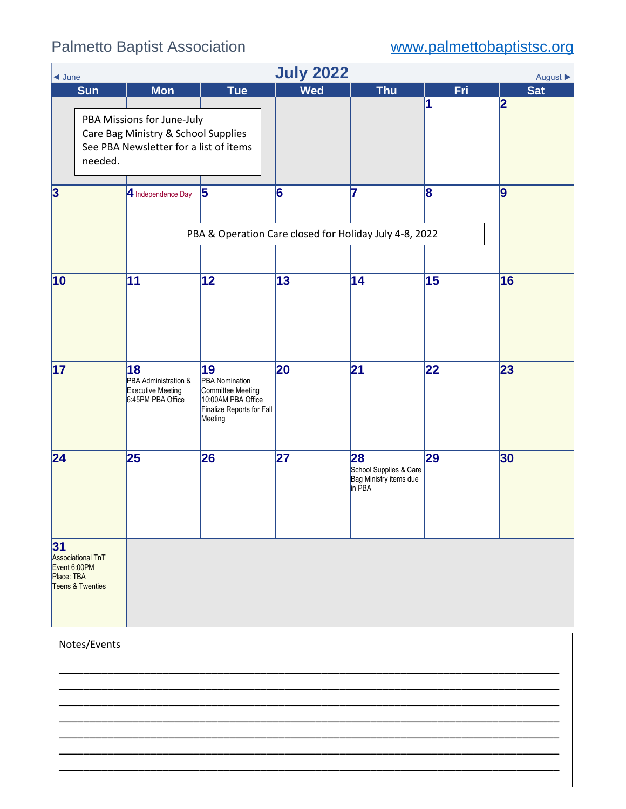# Palmetto Baptist Association [www.palmettobaptistsc.org](http://www.palmettobaptistsc.org/)

<span id="page-6-0"></span>

| <b>July 2022</b><br>August $\blacktriangleright$<br>$\triangleleft$ June  |                                                                                                             |                                                                                                                |            |                                                                  |            |                         |  |  |  |
|---------------------------------------------------------------------------|-------------------------------------------------------------------------------------------------------------|----------------------------------------------------------------------------------------------------------------|------------|------------------------------------------------------------------|------------|-------------------------|--|--|--|
| <b>Sun</b>                                                                | <b>Mon</b>                                                                                                  | Tue <sup>1</sup>                                                                                               | <b>Wed</b> | <b>Thu</b>                                                       | <b>Fri</b> | <b>Sat</b>              |  |  |  |
| needed.                                                                   | PBA Missions for June-July<br>Care Bag Ministry & School Supplies<br>See PBA Newsletter for a list of items |                                                                                                                |            |                                                                  | 1          | $\overline{\mathbf{2}}$ |  |  |  |
| $\vert 3 \vert$                                                           | 4 Independence Day                                                                                          | $\vert$ 5                                                                                                      | 6          | 7<br>PBA & Operation Care closed for Holiday July 4-8, 2022      | $\bf{8}$   | $\overline{9}$          |  |  |  |
| 10                                                                        | 11                                                                                                          | 12                                                                                                             | 13         | 14                                                               | 15         | 16                      |  |  |  |
| 17                                                                        | 18<br>PBA Administration &<br>Executive Meeting<br>6:45PM PBA Office                                        | 19<br><b>PBA Nomination</b><br>Committee Meeting<br>10:00AM PBA Office<br>Finalize Reports for Fall<br>Meeting | 20         | 21                                                               | 22         | 23                      |  |  |  |
| 24                                                                        | 25                                                                                                          | 26                                                                                                             | 27         | 28<br>School Supplies & Care<br>Bag Ministry items due<br>in PBA | 29         | 30                      |  |  |  |
| 31<br>Associational TnT<br>Event 6:00PM<br>Place: TBA<br>Teens & Twenties |                                                                                                             |                                                                                                                |            |                                                                  |            |                         |  |  |  |
| Notes/Events                                                              |                                                                                                             |                                                                                                                |            |                                                                  |            |                         |  |  |  |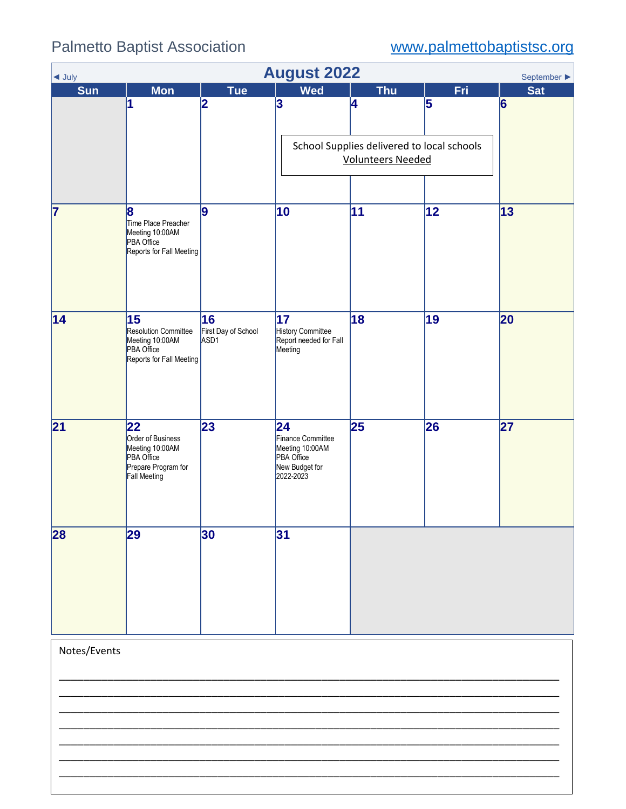<span id="page-7-0"></span>

| $\blacktriangleleft$ July | <b>August 2022</b><br>September ▶                                                               |                                               |                                                                                                   |                                                                              |      |            |  |  |  |  |
|---------------------------|-------------------------------------------------------------------------------------------------|-----------------------------------------------|---------------------------------------------------------------------------------------------------|------------------------------------------------------------------------------|------|------------|--|--|--|--|
| <b>Sun</b>                | <b>Mon</b>                                                                                      | <b>Tue</b>                                    | <b>Wed</b>                                                                                        | <b>Thu</b>                                                                   | Fri. | <b>Sat</b> |  |  |  |  |
|                           | 1                                                                                               | 2                                             | 3                                                                                                 | 14<br>School Supplies delivered to local schools<br><b>Volunteers Needed</b> | 5    | 6          |  |  |  |  |
| $\overline{\mathbf{7}}$   | 8<br>Time Place Preacher<br>Meeting 10:00AM<br>PBA Office<br>Reports for Fall Meeting           | 9                                             | 10                                                                                                | 11                                                                           | 12   | 13         |  |  |  |  |
| 14                        | 15<br>Resolution Committee<br>Meeting 10:00AM<br>PBA Office<br>Reports for Fall Meeting         | 16<br>First Day of School<br>ASD <sub>1</sub> | 17<br>History Committee<br>Report needed for Fall<br>Meeting                                      | 18                                                                           | 19   | 20         |  |  |  |  |
| 21                        | 22<br>Order of Business<br>Meeting 10:00AM<br>PBA Office<br>Prepare Program for<br>Fall Meeting | 23                                            | $ 24\rangle$<br>Finance Committee<br>Meeting 10:00AM<br>PBA Office<br>New Budget for<br>2022-2023 | 25                                                                           | 26   | 27         |  |  |  |  |
| $\overline{28}$           | 29                                                                                              | 30                                            | 31                                                                                                |                                                                              |      |            |  |  |  |  |
| Notes/Events              |                                                                                                 |                                               |                                                                                                   |                                                                              |      |            |  |  |  |  |

\_\_\_\_\_\_\_\_\_\_\_\_\_\_\_\_\_\_\_\_\_\_\_\_\_\_\_\_\_\_\_\_\_\_\_\_\_\_\_\_\_\_\_\_\_\_\_\_\_\_\_\_\_\_\_\_\_\_\_\_\_\_\_\_\_\_\_\_\_\_\_\_\_\_\_\_\_\_\_\_\_\_ \_\_\_\_\_\_\_\_\_\_\_\_\_\_\_\_\_\_\_\_\_\_\_\_\_\_\_\_\_\_\_\_\_\_\_\_\_\_\_\_\_\_\_\_\_\_\_\_\_\_\_\_\_\_\_\_\_\_\_\_\_\_\_\_\_\_\_\_\_\_\_\_\_\_\_\_\_\_\_\_\_\_ \_\_\_\_\_\_\_\_\_\_\_\_\_\_\_\_\_\_\_\_\_\_\_\_\_\_\_\_\_\_\_\_\_\_\_\_\_\_\_\_\_\_\_\_\_\_\_\_\_\_\_\_\_\_\_\_\_\_\_\_\_\_\_\_\_\_\_\_\_\_\_\_\_\_\_\_\_\_\_\_\_\_ \_\_\_\_\_\_\_\_\_\_\_\_\_\_\_\_\_\_\_\_\_\_\_\_\_\_\_\_\_\_\_\_\_\_\_\_\_\_\_\_\_\_\_\_\_\_\_\_\_\_\_\_\_\_\_\_\_\_\_\_\_\_\_\_\_\_\_\_\_\_\_\_\_\_\_\_\_\_\_\_\_\_ \_\_\_\_\_\_\_\_\_\_\_\_\_\_\_\_\_\_\_\_\_\_\_\_\_\_\_\_\_\_\_\_\_\_\_\_\_\_\_\_\_\_\_\_\_\_\_\_\_\_\_\_\_\_\_\_\_\_\_\_\_\_\_\_\_\_\_\_\_\_\_\_\_\_\_\_\_\_\_\_\_\_ \_\_\_\_\_\_\_\_\_\_\_\_\_\_\_\_\_\_\_\_\_\_\_\_\_\_\_\_\_\_\_\_\_\_\_\_\_\_\_\_\_\_\_\_\_\_\_\_\_\_\_\_\_\_\_\_\_\_\_\_\_\_\_\_\_\_\_\_\_\_\_\_\_\_\_\_\_\_\_\_\_\_ \_\_\_\_\_\_\_\_\_\_\_\_\_\_\_\_\_\_\_\_\_\_\_\_\_\_\_\_\_\_\_\_\_\_\_\_\_\_\_\_\_\_\_\_\_\_\_\_\_\_\_\_\_\_\_\_\_\_\_\_\_\_\_\_\_\_\_\_\_\_\_\_\_\_\_\_\_\_\_\_\_\_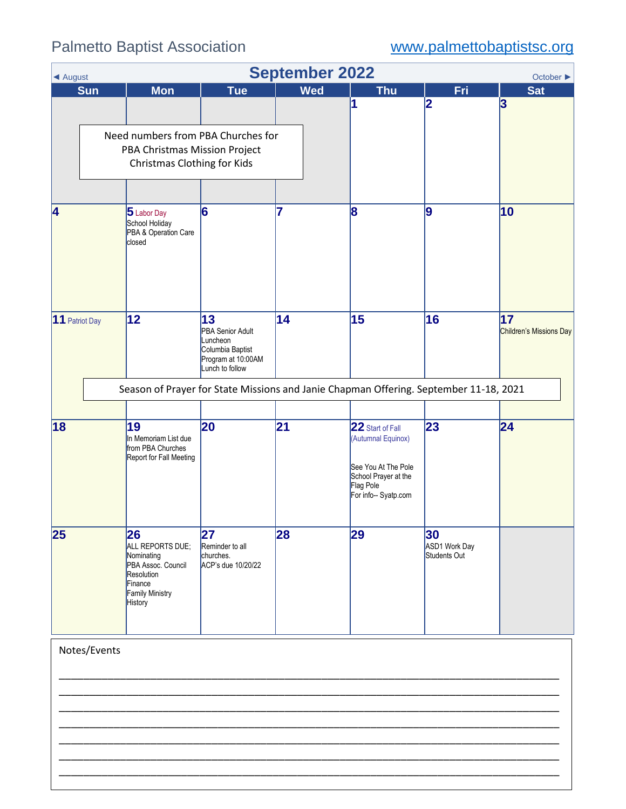<span id="page-8-0"></span>

| ◀ August       |                                                                                                                   |                                                                                                 | <b>September 2022</b> |                                                                                                                            |                                                                                       | October ▶                                  |
|----------------|-------------------------------------------------------------------------------------------------------------------|-------------------------------------------------------------------------------------------------|-----------------------|----------------------------------------------------------------------------------------------------------------------------|---------------------------------------------------------------------------------------|--------------------------------------------|
| <b>Sun</b>     | <b>Mon</b>                                                                                                        | <b>Tue</b>                                                                                      | <b>Wed</b>            | <b>Thu</b>                                                                                                                 | Fri                                                                                   | <b>Sat</b>                                 |
|                | Need numbers from PBA Churches for<br>PBA Christmas Mission Project<br><b>Christmas Clothing for Kids</b>         |                                                                                                 |                       | 1                                                                                                                          | 2                                                                                     | $\mathbf{3}$                               |
| 4              | $5$ Labor Day<br>School Holiday<br>PBA & Operation Care<br>closed                                                 | 6                                                                                               | 7                     | 8                                                                                                                          | 9                                                                                     | 10                                         |
| 11 Patriot Day | $ 12\rangle$                                                                                                      | 13<br>PBA Senior Adult<br>Luncheon<br>Columbia Baptist<br>Program at 10:00AM<br>Lunch to follow | 14                    | 15                                                                                                                         | 16                                                                                    | $\overline{17}$<br>Children's Missions Day |
|                |                                                                                                                   |                                                                                                 |                       |                                                                                                                            | Season of Prayer for State Missions and Janie Chapman Offering. September 11-18, 2021 |                                            |
| 18             | 19<br>In Memoriam List due<br>from PBA Churches<br>Report for Fall Meeting                                        | 20                                                                                              | 21                    | 22 Start of Fall<br>(Autumnal Equinox)<br>See You At The Pole<br>School Prayer at the<br>Flag Pole<br>For info-- Syatp.com | 23                                                                                    | 24                                         |
| 25             | 26<br>ALL REPORTS DUE;<br>Nominating<br>PBA Assoc. Council<br>Resolution<br>Finance<br>Family Ministry<br>History | 27<br>Reminder to all<br>churches.<br>ACP's due 10/20/22                                        | 28                    | 29                                                                                                                         | 30<br>ASD1 Work Day<br>Students Out                                                   |                                            |
| Notes/Events   |                                                                                                                   |                                                                                                 |                       |                                                                                                                            |                                                                                       |                                            |

 $\mathcal{L}_\mathcal{L} = \mathcal{L}_\mathcal{L} = \mathcal{L}_\mathcal{L} = \mathcal{L}_\mathcal{L} = \mathcal{L}_\mathcal{L} = \mathcal{L}_\mathcal{L} = \mathcal{L}_\mathcal{L} = \mathcal{L}_\mathcal{L} = \mathcal{L}_\mathcal{L} = \mathcal{L}_\mathcal{L} = \mathcal{L}_\mathcal{L} = \mathcal{L}_\mathcal{L} = \mathcal{L}_\mathcal{L} = \mathcal{L}_\mathcal{L} = \mathcal{L}_\mathcal{L} = \mathcal{L}_\mathcal{L} = \mathcal{L}_\mathcal{L}$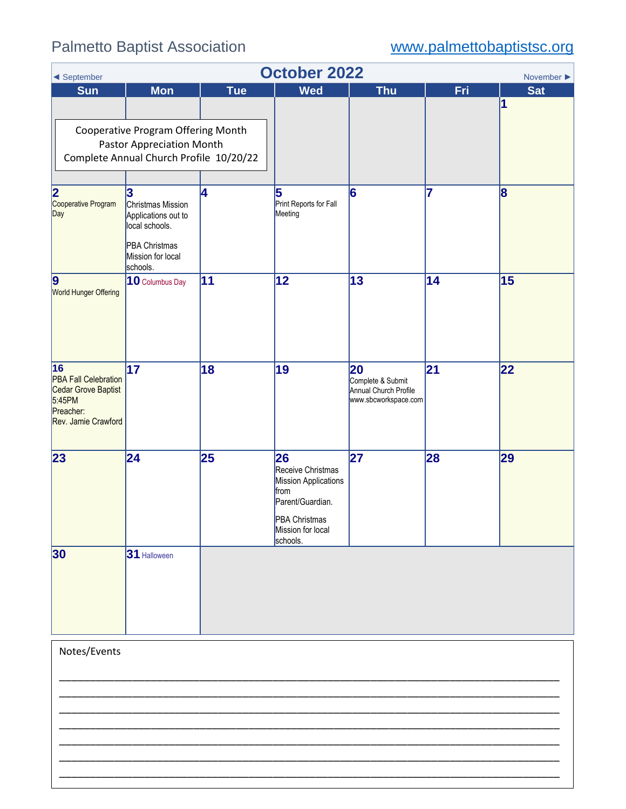<span id="page-9-0"></span>

| ◀ September                                                                                            | <b>October 2022</b><br>November $\blacktriangleright$                                                             |            |                                                                                                                               |                                                                          |     |            |  |  |  |
|--------------------------------------------------------------------------------------------------------|-------------------------------------------------------------------------------------------------------------------|------------|-------------------------------------------------------------------------------------------------------------------------------|--------------------------------------------------------------------------|-----|------------|--|--|--|
| <b>Sun</b>                                                                                             | <b>Mon</b>                                                                                                        | <b>Tue</b> | <b>Wed</b>                                                                                                                    | <b>Thu</b>                                                               | Fri | <b>Sat</b> |  |  |  |
|                                                                                                        |                                                                                                                   |            |                                                                                                                               |                                                                          |     | 1          |  |  |  |
|                                                                                                        | Cooperative Program Offering Month<br><b>Pastor Appreciation Month</b><br>Complete Annual Church Profile 10/20/22 |            |                                                                                                                               |                                                                          |     |            |  |  |  |
|                                                                                                        |                                                                                                                   |            |                                                                                                                               |                                                                          |     |            |  |  |  |
| 2 <br>Cooperative Program<br>Day                                                                       | 3<br>Christmas Mission<br>Applications out to<br>local schools.                                                   | 4          | 5<br>Print Reports for Fall<br>Meeting                                                                                        | 6                                                                        | 7   | 8          |  |  |  |
|                                                                                                        | <b>PBA Christmas</b><br>Mission for local<br>schools.                                                             |            |                                                                                                                               |                                                                          |     |            |  |  |  |
| $\overline{9}$<br>World Hunger Offering                                                                | 10 Columbus Day                                                                                                   | 11         | $ 12\rangle$                                                                                                                  | 13                                                                       | 14  | 15         |  |  |  |
| 16<br><b>PBA Fall Celebration</b><br>Cedar Grove Baptist<br>5:45PM<br>Preacher:<br>Rev. Jamie Crawford | $\overline{17}$                                                                                                   | 18         | 19                                                                                                                            | 20<br>Complete & Submit<br>Annual Church Profile<br>www.sbcworkspace.com | 21  | 22         |  |  |  |
| 23                                                                                                     | 24                                                                                                                | 25         | 26<br>Receive Christmas<br>Mission Applications<br>from<br>Parent/Guardian.<br>PBA Christmas<br>Mission for local<br>schools. | 27                                                                       | 28  | 29         |  |  |  |
| 30                                                                                                     | 31 Halloween                                                                                                      |            |                                                                                                                               |                                                                          |     |            |  |  |  |
| Notes/Events                                                                                           |                                                                                                                   |            |                                                                                                                               |                                                                          |     |            |  |  |  |

\_\_\_\_\_\_\_\_\_\_\_\_\_\_\_\_\_\_\_\_\_\_\_\_\_\_\_\_\_\_\_\_\_\_\_\_\_\_\_\_\_\_\_\_\_\_\_\_\_\_\_\_\_\_\_\_\_\_\_\_\_\_\_\_\_\_\_\_\_\_\_\_\_\_\_\_\_\_\_\_\_\_

\_\_\_\_\_\_\_\_\_\_\_\_\_\_\_\_\_\_\_\_\_\_\_\_\_\_\_\_\_\_\_\_\_\_\_\_\_\_\_\_\_\_\_\_\_\_\_\_\_\_\_\_\_\_\_\_\_\_\_\_\_\_\_\_\_\_\_\_\_\_\_\_\_\_\_\_\_\_\_\_\_\_ \_\_\_\_\_\_\_\_\_\_\_\_\_\_\_\_\_\_\_\_\_\_\_\_\_\_\_\_\_\_\_\_\_\_\_\_\_\_\_\_\_\_\_\_\_\_\_\_\_\_\_\_\_\_\_\_\_\_\_\_\_\_\_\_\_\_\_\_\_\_\_\_\_\_\_\_\_\_\_\_\_\_  $\overline{\phantom{a}}$  ,  $\overline{\phantom{a}}$  ,  $\overline{\phantom{a}}$  ,  $\overline{\phantom{a}}$  ,  $\overline{\phantom{a}}$  ,  $\overline{\phantom{a}}$  ,  $\overline{\phantom{a}}$  ,  $\overline{\phantom{a}}$  ,  $\overline{\phantom{a}}$  ,  $\overline{\phantom{a}}$  ,  $\overline{\phantom{a}}$  ,  $\overline{\phantom{a}}$  ,  $\overline{\phantom{a}}$  ,  $\overline{\phantom{a}}$  ,  $\overline{\phantom{a}}$  ,  $\overline{\phantom{a}}$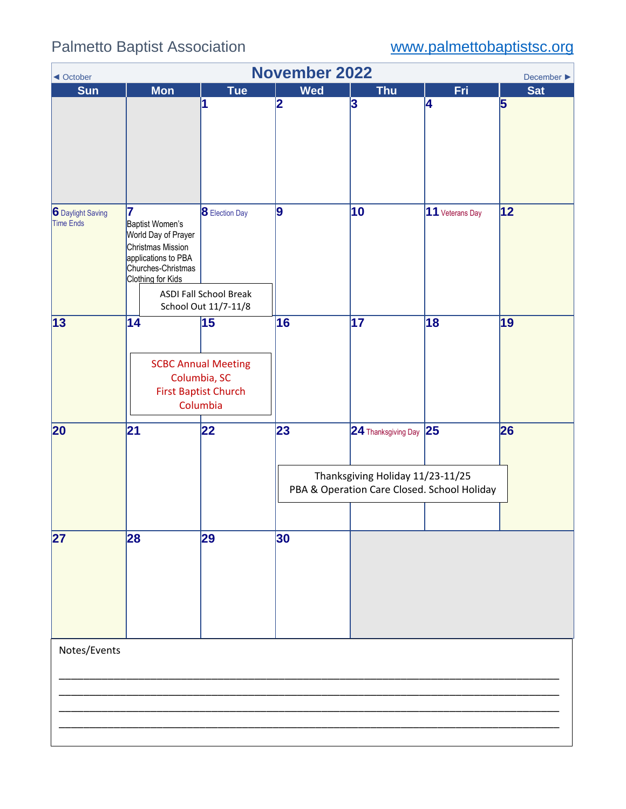<span id="page-10-0"></span>

| <b>November 2022</b><br>December $\blacktriangleright$<br>◀ October |                                                                                                                |                                                             |                  |                                                                                                               |                 |                              |  |  |  |
|---------------------------------------------------------------------|----------------------------------------------------------------------------------------------------------------|-------------------------------------------------------------|------------------|---------------------------------------------------------------------------------------------------------------|-----------------|------------------------------|--|--|--|
| <b>Sun</b>                                                          | <b>Mon</b>                                                                                                     | <b>Tue</b><br>1                                             | <b>Wed</b><br> 2 | <b>Thu</b><br>3                                                                                               | <b>Fri</b><br>4 | <b>Sat</b><br>$\overline{5}$ |  |  |  |
| 6 Daylight Saving<br><b>Time Ends</b>                               | 17<br>Baptist Women's<br>World Day of Prayer<br>Christmas Mission<br>applications to PBA<br>Churches-Christmas | <b>8</b> Election Day                                       | 9                | 10                                                                                                            | 11 Veterans Day | 12                           |  |  |  |
| 13                                                                  | Clothing for Kids<br>$\overline{14}$                                                                           | <b>ASDI Fall School Break</b><br>School Out 11/7-11/8<br>15 | 16               | 17                                                                                                            | 18              | 19                           |  |  |  |
|                                                                     | <b>SCBC Annual Meeting</b><br>Columbia, SC<br><b>First Baptist Church</b><br>Columbia                          |                                                             |                  |                                                                                                               |                 |                              |  |  |  |
| 20                                                                  | 21                                                                                                             | 22                                                          | 23               | $24$ Thanksgiving Day $25$<br>Thanksgiving Holiday 11/23-11/25<br>PBA & Operation Care Closed. School Holiday |                 | 26                           |  |  |  |
| 27                                                                  | 28                                                                                                             | 29                                                          | 30               |                                                                                                               |                 |                              |  |  |  |
| Notes/Events                                                        |                                                                                                                |                                                             |                  |                                                                                                               |                 |                              |  |  |  |